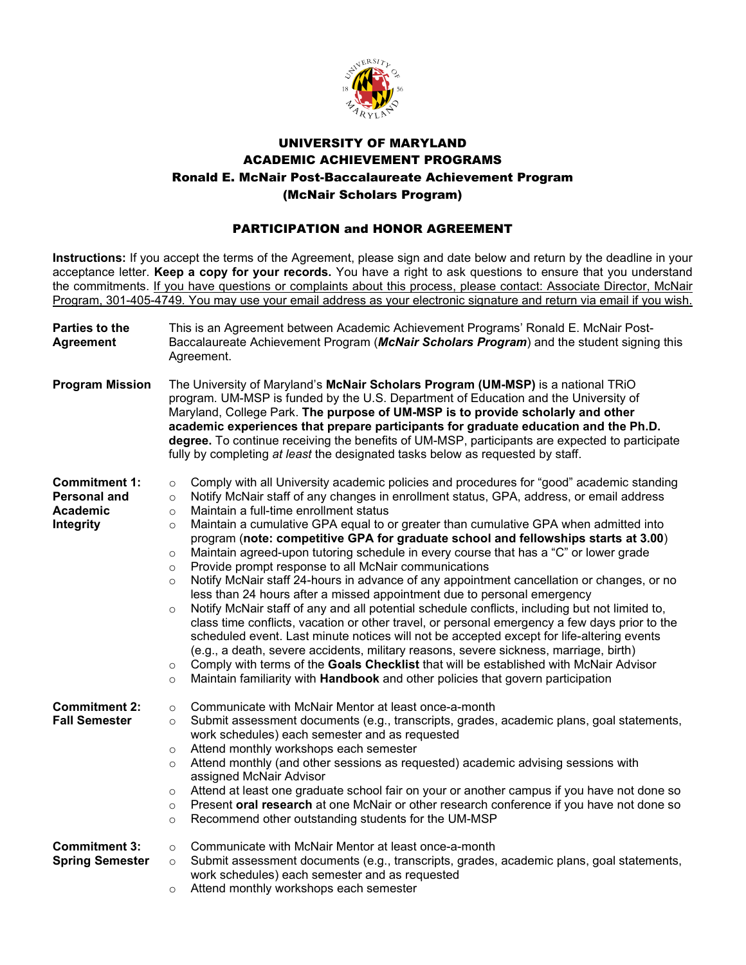

## UNIVERSITY OF MARYLAND ACADEMIC ACHIEVEMENT PROGRAMS Ronald E. McNair Post-Baccalaureate Achievement Program (McNair Scholars Program)

## PARTICIPATION and HONOR AGREEMENT

**Instructions:** If you accept the terms of the Agreement, please sign and date below and return by the deadline in your acceptance letter. **Keep a copy for your records.** You have a right to ask questions to ensure that you understand the commitments. If you have questions or complaints about this process, please contact: Associate Director, McNair Program, 301-405-4749. You may use your email address as your electronic signature and return via email if you wish.

| Parties to the<br><b>Agreement</b>                                   | This is an Agreement between Academic Achievement Programs' Ronald E. McNair Post-<br>Baccalaureate Achievement Program (McNair Scholars Program) and the student signing this<br>Agreement.                                                                                                                                                                                                                                                                                                                                                                                                                                                                                                                                                                                                                                                                                                                                                                                                                                                                                                                                                                                                                                                                                                                                                                                                                           |  |  |
|----------------------------------------------------------------------|------------------------------------------------------------------------------------------------------------------------------------------------------------------------------------------------------------------------------------------------------------------------------------------------------------------------------------------------------------------------------------------------------------------------------------------------------------------------------------------------------------------------------------------------------------------------------------------------------------------------------------------------------------------------------------------------------------------------------------------------------------------------------------------------------------------------------------------------------------------------------------------------------------------------------------------------------------------------------------------------------------------------------------------------------------------------------------------------------------------------------------------------------------------------------------------------------------------------------------------------------------------------------------------------------------------------------------------------------------------------------------------------------------------------|--|--|
| <b>Program Mission</b>                                               | The University of Maryland's McNair Scholars Program (UM-MSP) is a national TRiO<br>program. UM-MSP is funded by the U.S. Department of Education and the University of<br>Maryland, College Park. The purpose of UM-MSP is to provide scholarly and other<br>academic experiences that prepare participants for graduate education and the Ph.D.<br>degree. To continue receiving the benefits of UM-MSP, participants are expected to participate<br>fully by completing at least the designated tasks below as requested by staff.                                                                                                                                                                                                                                                                                                                                                                                                                                                                                                                                                                                                                                                                                                                                                                                                                                                                                  |  |  |
| <b>Commitment 1:</b><br><b>Personal and</b><br>Academic<br>Integrity | Comply with all University academic policies and procedures for "good" academic standing<br>$\circ$<br>Notify McNair staff of any changes in enrollment status, GPA, address, or email address<br>$\circ$<br>Maintain a full-time enrollment status<br>$\circ$<br>Maintain a cumulative GPA equal to or greater than cumulative GPA when admitted into<br>$\circ$<br>program (note: competitive GPA for graduate school and fellowships starts at 3.00)<br>Maintain agreed-upon tutoring schedule in every course that has a "C" or lower grade<br>$\circ$<br>Provide prompt response to all McNair communications<br>$\circ$<br>Notify McNair staff 24-hours in advance of any appointment cancellation or changes, or no<br>$\circ$<br>less than 24 hours after a missed appointment due to personal emergency<br>Notify McNair staff of any and all potential schedule conflicts, including but not limited to,<br>$\circ$<br>class time conflicts, vacation or other travel, or personal emergency a few days prior to the<br>scheduled event. Last minute notices will not be accepted except for life-altering events<br>(e.g., a death, severe accidents, military reasons, severe sickness, marriage, birth)<br>Comply with terms of the Goals Checklist that will be established with McNair Advisor<br>$\circ$<br>Maintain familiarity with Handbook and other policies that govern participation<br>$\circ$ |  |  |
| <b>Commitment 2:</b><br><b>Fall Semester</b>                         | Communicate with McNair Mentor at least once-a-month<br>$\circ$<br>Submit assessment documents (e.g., transcripts, grades, academic plans, goal statements,<br>$\circ$<br>work schedules) each semester and as requested<br>Attend monthly workshops each semester<br>$\circ$<br>Attend monthly (and other sessions as requested) academic advising sessions with<br>$\circ$<br>assigned McNair Advisor<br>Attend at least one graduate school fair on your or another campus if you have not done so<br>$\circ$<br>Present oral research at one McNair or other research conference if you have not done so<br>$\circ$<br>Recommend other outstanding students for the UM-MSP<br>$\circ$                                                                                                                                                                                                                                                                                                                                                                                                                                                                                                                                                                                                                                                                                                                              |  |  |
| <b>Commitment 3:</b><br><b>Spring Semester</b>                       | Communicate with McNair Mentor at least once-a-month<br>$\circ$<br>Submit assessment documents (e.g., transcripts, grades, academic plans, goal statements,<br>$\circ$<br>work schedules) each semester and as requested<br>Attend monthly workshops each semester<br>$\circ$                                                                                                                                                                                                                                                                                                                                                                                                                                                                                                                                                                                                                                                                                                                                                                                                                                                                                                                                                                                                                                                                                                                                          |  |  |